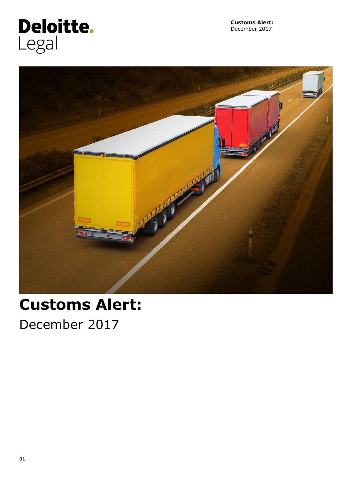

**Customs Alert:**  December 2017



# **Customs Alert:**

December 2017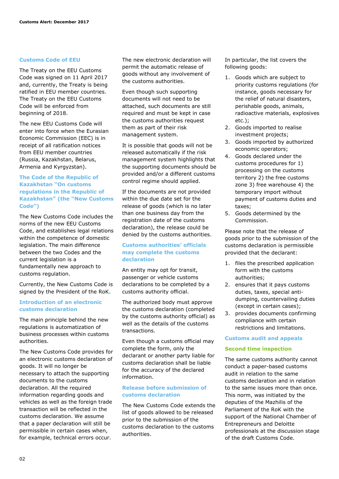#### **Customs Code of EEU**

The Treaty on the EEU Customs Code was signed on 11 April 2017 and, currently, the Treaty is being ratified in EEU member countries. The Treaty on the EEU Customs Code will be enforced from beginning of 2018.

The new EEU Customs Code will enter into force when the Eurasian Economic Commission (EEC) is in receipt of all ratification notices from EEU member countries (Russia, Kazakhstan, Belarus, Armenia and Kyrgyzstan).

#### **The Code of the Republic of Kazakhstan "On customs regulations in the Republic of Kazakhstan" (the "New Customs Code")**

The New Customs Code includes the norms of the new EEU Customs Code, and establishes legal relations within the competence of domestic legislation. The main difference between the two Codes and the current legislation is a fundamentally new approach to customs regulation.

Currently, the New Customs Code is signed by the President of the RoK.

#### **Introduction of an electronic customs declaration**

The main principle behind the new regulations is automatization of business processes within customs authorities.

The New Customs Code provides for an electronic customs declaration of goods. It will no longer be necessary to attach the supporting documents to the customs declaration. All the required information regarding goods and vehicles as well as the foreign trade transaction will be reflected in the customs declaration. We assume that a paper declaration will still be permissible in certain cases when, for example, technical errors occur.

The new electronic declaration will permit the automatic release of goods without any involvement of the customs authorities.

Even though such supporting documents will not need to be attached, such documents are still required and must be kept in case the customs authorities request them as part of their risk management system.

It is possible that goods will not be released automatically if the risk management system highlights that the supporting documents should be provided and/or a different customs control regime should applied.

If the documents are not provided within the due date set for the release of goods (which is no later than one business day from the registration date of the customs declaration), the release could be denied by the customs authorities.

#### **Customs authorities' officials may complete the customs declaration**

An entity may opt for transit, passenger or vehicle customs declarations to be completed by a customs authority official.

The authorized body must approve the customs declaration (completed by the customs authority official) as well as the details of the customs transactions.

Even though a customs official may complete the form, only the declarant or another party liable for customs declaration shall be liable for the accuracy of the declared information.

#### **Release before submission of customs declaration**

The New Customs Code extends the list of goods allowed to be released prior to the submission of the customs declaration to the customs authorities.

In particular, the list covers the following goods:

- 1. Goods which are subject to priority customs regulations (for instance, goods necessary for the relief of natural disasters, perishable goods, animals, radioactive materials, explosives etc.);
- 2. Goods imported to realise investment projects;
- 3. Goods imported by authorized economic operators;
- 4. Goods declared under the customs procedures for 1) processing on the customs territory 2) the free customs zone 3) free warehouse 4) the temporary import without payment of customs duties and taxes;
- 5. Goods determined by the Commission.

Please note that the release of goods prior to the submission of the customs declaration is permissible provided that the declarant:

- 1. files the prescribed application form with the customs authorities;
- 2. ensures that it pays customs duties, taxes, special antidumping, countervailing duties (except in certain cases);
- 3. provides documents confirming compliance with certain restrictions and limitations.

#### **Customs audit and appeals**

#### **Second time inspection**

The same customs authority cannot conduct a paper-based customs audit in relation to the same customs declaration and in relation to the same issues more than once. This norm, was initiated by the deputies of the Mazhilis of the Parliament of the RoK with the support of the National Chamber of Entrepreneurs and Deloitte professionals at the discussion stage of the draft Customs Code.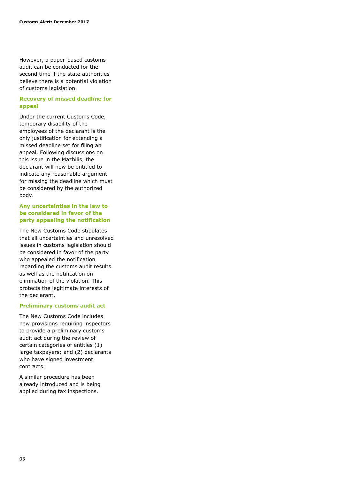However, a paper-based customs audit can be conducted for the second time if the state authorities believe there is a potential violation of customs legislation.

#### **Recovery of missed deadline for appeal**

Under the current Customs Code, temporary disability of the employees of the declarant is the only justification for extending a missed deadline set for filing an appeal. Following discussions on this issue in the Mazhilis, the declarant will now be entitled to indicate any reasonable argument for missing the deadline which must be considered by the authorized body.

#### **Any uncertainties in the law to be considered in favor of the party appealing the notification**

The New Customs Code stipulates that all uncertainties and unresolved issues in customs legislation should be considered in favor of the party who appealed the notification regarding the customs audit results as well as the notification on elimination of the violation. This protects the legitimate interests of the declarant.

#### **Preliminary customs audit act**

The New Customs Code includes new provisions requiring inspectors to provide a preliminary customs audit act during the review of certain categories of entities (1) large taxpayers; and (2) declarants who have signed investment contracts.

A similar procedure has been already introduced and is being applied during tax inspections.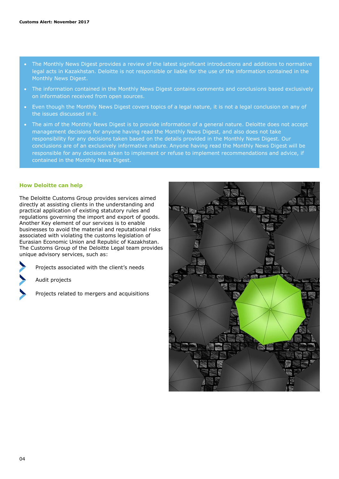- The Monthly News Digest provides a review of the latest significant introductions and additions to normative legal acts in Kazakhstan. Deloitte is not responsible or liable for the use of the information contained in the Monthly News Digest.
- The information contained in the Monthly News Digest contains comments and conclusions based exclusively on information received from open sources.
- Even though the Monthly News Digest covers topics of a legal nature, it is not a legal conclusion on any of the issues discussed in it.
- The aim of the Monthly News Digest is to provide information of a general nature. Deloitte does not accept management decisions for anyone having read the Monthly News Digest, and also does not take responsibility for any decisions taken based on the details provided in the Monthly News Digest. Our conclusions are of an exclusively informative nature. Anyone having read the Monthly News Digest will be responsible for any decisions taken to implement or refuse to implement recommendations and advice, if contained in the Monthly News Digest.

#### **How Deloitte can help**

The Deloitte Customs Group provides services aimed directly at assisting clients in the understanding and practical application of existing statutory rules and regulations governing the import and export of goods. Another Key element of our services is to enable businesses to avoid the material and reputational risks associated with violating the customs legislation of Eurasian Economic Union and Republic of Kazakhstan. The Customs Group of the Deloitte Legal team provides unique advisory services, such as:

Projects associated with the client's needs

Audit projects

Projects related to mergers and acquisitions